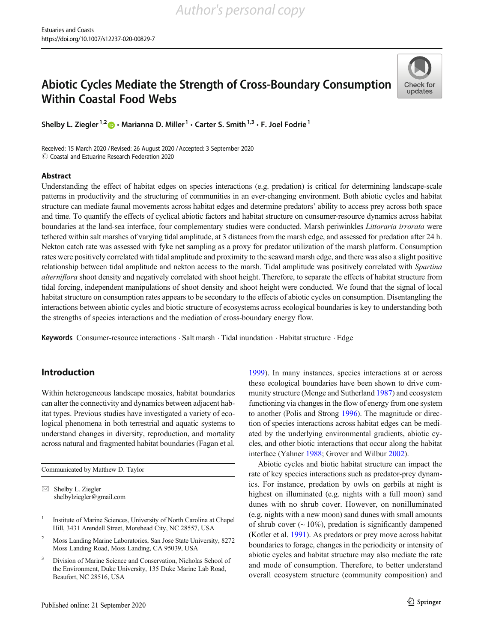# Abiotic Cycles Mediate the Strength of Cross-Boundary Consumption Within Coastal Food Webs



Shelby L. Ziegler<sup>1,2</sup>  $\bullet$  · Marianna D. Miller<sup>1</sup> · Carter S. Smith<sup>1,3</sup> · F. Joel Fodrie<sup>1</sup>

Received: 15 March 2020 / Revised: 26 August 2020 /Accepted: 3 September 2020  $\circ$  Coastal and Estuarine Research Federation 2020

## Abstract

Understanding the effect of habitat edges on species interactions (e.g. predation) is critical for determining landscape-scale patterns in productivity and the structuring of communities in an ever-changing environment. Both abiotic cycles and habitat structure can mediate faunal movements across habitat edges and determine predators' ability to access prey across both space and time. To quantify the effects of cyclical abiotic factors and habitat structure on consumer-resource dynamics across habitat boundaries at the land-sea interface, four complementary studies were conducted. Marsh periwinkles Littoraria irrorata were tethered within salt marshes of varying tidal amplitude, at 3 distances from the marsh edge, and assessed for predation after 24 h. Nekton catch rate was assessed with fyke net sampling as a proxy for predator utilization of the marsh platform. Consumption rates were positively correlated with tidal amplitude and proximity to the seaward marsh edge, and there was also a slight positive relationship between tidal amplitude and nekton access to the marsh. Tidal amplitude was positively correlated with Spartina alterniflora shoot density and negatively correlated with shoot height. Therefore, to separate the effects of habitat structure from tidal forcing, independent manipulations of shoot density and shoot height were conducted. We found that the signal of local habitat structure on consumption rates appears to be secondary to the effects of abiotic cycles on consumption. Disentangling the interactions between abiotic cycles and biotic structure of ecosystems across ecological boundaries is key to understanding both the strengths of species interactions and the mediation of cross-boundary energy flow.

Keywords Consumer-resource interactions . Salt marsh . Tidal inundation . Habitat structure . Edge

# Introduction

Within heterogeneous landscape mosaics, habitat boundaries can alter the connectivity and dynamics between adjacent habitat types. Previous studies have investigated a variety of ecological phenomena in both terrestrial and aquatic systems to understand changes in diversity, reproduction, and mortality across natural and fragmented habitat boundaries (Fagan et al.

Communicated by Matthew D. Taylor

 $\boxtimes$  Shelby L. Ziegler [shelbylziegler@gmail.com](mailto:shelbylziegler@gmail.com)

- <sup>2</sup> Moss Landing Marine Laboratories, San Jose State University, 8272 Moss Landing Road, Moss Landing, CA 95039, USA
- <sup>3</sup> Division of Marine Science and Conservation, Nicholas School of the Environment, Duke University, 135 Duke Marine Lab Road, Beaufort, NC 28516, USA

Published online: 21 September 2020

[1999](#page-8-0)). In many instances, species interactions at or across these ecological boundaries have been shown to drive community structure (Menge and Sutherland [1987\)](#page-9-0) and ecosystem functioning via changes in the flow of energy from one system to another (Polis and Strong [1996\)](#page-9-0). The magnitude or direction of species interactions across habitat edges can be mediated by the underlying environmental gradients, abiotic cycles, and other biotic interactions that occur along the habitat interface (Yahner [1988](#page-9-0); Grover and Wilbur [2002\)](#page-8-0).

Abiotic cycles and biotic habitat structure can impact the rate of key species interactions such as predator-prey dynamics. For instance, predation by owls on gerbils at night is highest on illuminated (e.g. nights with a full moon) sand dunes with no shrub cover. However, on nonilluminated (e.g. nights with a new moon) sand dunes with small amounts of shrub cover  $(~10\%)$ , predation is significantly dampened (Kotler et al. [1991](#page-9-0)). As predators or prey move across habitat boundaries to forage, changes in the periodicity or intensity of abiotic cycles and habitat structure may also mediate the rate and mode of consumption. Therefore, to better understand overall ecosystem structure (community composition) and

<sup>&</sup>lt;sup>1</sup> Institute of Marine Sciences, University of North Carolina at Chapel Hill, 3431 Arendell Street, Morehead City, NC 28557, USA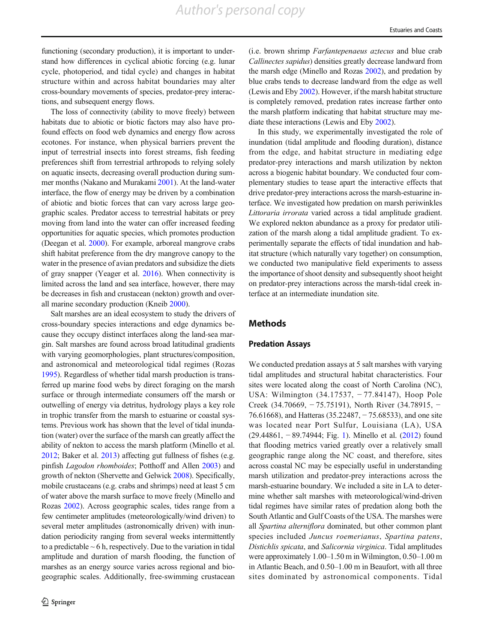The loss of connectivity (ability to move freely) between habitats due to abiotic or biotic factors may also have profound effects on food web dynamics and energy flow across ecotones. For instance, when physical barriers prevent the input of terrestrial insects into forest streams, fish feeding preferences shift from terrestrial arthropods to relying solely on aquatic insects, decreasing overall production during summer months (Nakano and Murakami [2001\)](#page-9-0). At the land-water interface, the flow of energy may be driven by a combination of abiotic and biotic forces that can vary across large geographic scales. Predator access to terrestrial habitats or prey moving from land into the water can offer increased feeding opportunities for aquatic species, which promotes production (Deegan et al. [2000\)](#page-8-0). For example, arboreal mangrove crabs shift habitat preference from the dry mangrove canopy to the water in the presence of avian predators and subsidize the diets of gray snapper (Yeager et al. [2016](#page-9-0)). When connectivity is limited across the land and sea interface, however, there may be decreases in fish and crustacean (nekton) growth and overall marine secondary production (Kneib [2000](#page-8-0)).

Salt marshes are an ideal ecosystem to study the drivers of cross-boundary species interactions and edge dynamics because they occupy distinct interfaces along the land-sea margin. Salt marshes are found across broad latitudinal gradients with varying geomorphologies, plant structures/composition, and astronomical and meteorological tidal regimes (Rozas [1995\)](#page-9-0). Regardless of whether tidal marsh production is transferred up marine food webs by direct foraging on the marsh surface or through intermediate consumers off the marsh or outwelling of energy via detritus, hydrology plays a key role in trophic transfer from the marsh to estuarine or coastal systems. Previous work has shown that the level of tidal inundation (water) over the surface of the marsh can greatly affect the ability of nekton to access the marsh platform (Minello et al. [2012;](#page-9-0) Baker et al. [2013](#page-8-0)) affecting gut fullness of fishes (e.g. pinfish Lagodon rhomboides; Potthoff and Allen [2003](#page-9-0)) and growth of nekton (Shervette and Gelwick [2008\)](#page-9-0). Specifically, mobile crustaceans (e.g. crabs and shrimps) need at least 5 cm of water above the marsh surface to move freely (Minello and Rozas [2002](#page-9-0)). Across geographic scales, tides range from a few centimeter amplitudes (meteorologically/wind driven) to several meter amplitudes (astronomically driven) with inundation periodicity ranging from several weeks intermittently to a predictable  $\sim$  6 h, respectively. Due to the variation in tidal amplitude and duration of marsh flooding, the function of marshes as an energy source varies across regional and biogeographic scales. Additionally, free-swimming crustacean

Estuaries and Coasts

(i.e. brown shrimp Farfantepenaeus aztecus and blue crab Callinectes sapidus) densities greatly decrease landward from the marsh edge (Minello and Rozas [2002](#page-9-0)), and predation by blue crabs tends to decrease landward from the edge as well (Lewis and Eby [2002](#page-9-0)). However, if the marsh habitat structure is completely removed, predation rates increase farther onto the marsh platform indicating that habitat structure may mediate these interactions (Lewis and Eby [2002\)](#page-9-0).

In this study, we experimentally investigated the role of inundation (tidal amplitude and flooding duration), distance from the edge, and habitat structure in mediating edge predator-prey interactions and marsh utilization by nekton across a biogenic habitat boundary. We conducted four complementary studies to tease apart the interactive effects that drive predator-prey interactions across the marsh-estuarine interface. We investigated how predation on marsh periwinkles Littoraria irrorata varied across a tidal amplitude gradient. We explored nekton abundance as a proxy for predator utilization of the marsh along a tidal amplitude gradient. To experimentally separate the effects of tidal inundation and habitat structure (which naturally vary together) on consumption, we conducted two manipulative field experiments to assess the importance of shoot density and subsequently shoot height on predator-prey interactions across the marsh-tidal creek interface at an intermediate inundation site.

# Methods

# Predation Assays

We conducted predation assays at 5 salt marshes with varying tidal amplitudes and structural habitat characteristics. Four sites were located along the coast of North Carolina (NC), USA: Wilmington (34.17537, − 77.84147), Hoop Pole Creek (34.70669, − 75.75191), North River (34.78915, − 76.61668), and Hatteras (35.22487, − 75.68533), and one site was located near Port Sulfur, Louisiana (LA), USA (29.44861, − 89.74944; Fig. [1\)](#page-2-0). Minello et al. [\(2012\)](#page-9-0) found that flooding metrics varied greatly over a relatively small geographic range along the NC coast, and therefore, sites across coastal NC may be especially useful in understanding marsh utilization and predator-prey interactions across the marsh-estuarine boundary. We included a site in LA to determine whether salt marshes with meteorological/wind-driven tidal regimes have similar rates of predation along both the South Atlantic and Gulf Coasts of the USA. The marshes were all Spartina alterniflora dominated, but other common plant species included Juncus roemerianus, Spartina patens, Distichlis spicata, and Salicornia virginica. Tidal amplitudes were approximately 1.00–1.50 m in Wilmington, 0.50–1.00 m in Atlantic Beach, and 0.50–1.00 m in Beaufort, with all three sites dominated by astronomical components. Tidal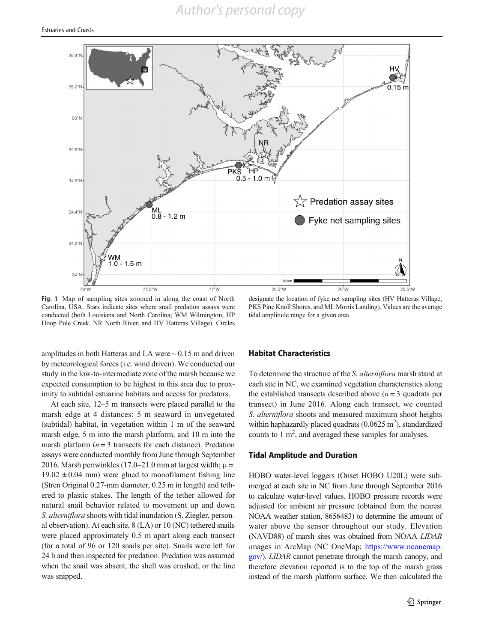<span id="page-2-0"></span>

Fig. 1 Map of sampling sites zoomed in along the coast of North Carolina, USA. Stars indicate sites where snail predation assays were conducted (both Louisiana and North Carolina; WM Wilmington, HP Hoop Pole Creek, NR North River, and HV Hatteras Village). Circles

designate the location of fyke net sampling sites (HV Hatteras Village, PKS Pine Knoll Shores, and ML Morris Landing). Values are the average tidal amplitude range for a given area

amplitudes in both Hatteras and LA were  $\sim 0.15$  m and driven by meteorological forces (i.e. wind driven). We conducted our study in the low-to-intermediate zone of the marsh because we expected consumption to be highest in this area due to proximity to subtidal estuarine habitats and access for predators.

At each site, 12–5 m transects were placed parallel to the marsh edge at 4 distances: 5 m seaward in unvegetated (subtidal) habitat, in vegetation within 1 m of the seaward marsh edge, 5 m into the marsh platform, and 10 m into the marsh platform  $(n = 3$  transects for each distance). Predation assays were conducted monthly from June through September 2016. Marsh periwinkles (17.0–21.0 mm at largest width;  $\mu$  =  $19.02 \pm 0.04$  mm) were glued to monofilament fishing line (Stren Original 0.27-mm diameter, 0.25 m in length) and tethered to plastic stakes. The length of the tether allowed for natural snail behavior related to movement up and down S. alterniflora shoots with tidal inundation (S. Ziegler, personal observation). At each site, 8 (LA) or 10 (NC) tethered snails were placed approximately 0.5 m apart along each transect (for a total of 96 or 120 snails per site). Snails were left for 24 h and then inspected for predation. Predation was assumed when the snail was absent, the shell was crushed, or the line was snipped.

# Habitat Characteristics

To determine the structure of the S. alterniflora marsh stand at each site in NC, we examined vegetation characteristics along the established transects described above  $(n = 3$  quadrats per transect) in June 2016. Along each transect, we counted S. alterniflora shoots and measured maximum shoot heights within haphazardly placed quadrats  $(0.0625 \text{ m}^2)$ , standardized counts to  $1 \text{ m}^2$ , and averaged these samples for analyses.

# Tidal Amplitude and Duration

HOBO water-level loggers (Onset HOBO U20L) were submerged at each site in NC from June through September 2016 to calculate water-level values. HOBO pressure records were adjusted for ambient air pressure (obtained from the nearest NOAA weather station, 8656483) to determine the amount of water above the sensor throughout our study. Elevation (NAVD88) of marsh sites was obtained from NOAA LIDAR images in ArcMap (NC OneMap; [https://www.nconemap.](https://www.nconemap.gov/) [gov/\)](https://www.nconemap.gov/). LIDAR cannot penetrate through the marsh canopy, and therefore elevation reported is to the top of the marsh grass instead of the marsh platform surface. We then calculated the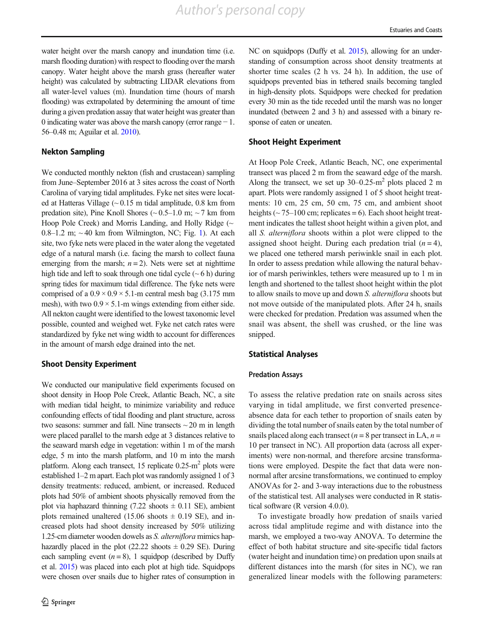water height over the marsh canopy and inundation time *(i.e.*) marsh flooding duration) with respect to flooding over the marsh canopy. Water height above the marsh grass (hereafter water height) was calculated by subtracting LIDAR elevations from all water-level values (m). Inundation time (hours of marsh flooding) was extrapolated by determining the amount of time during a given predation assay that water height was greater than 0 indicating water was above the marsh canopy (error range − 1. 56–0.48 m; Aguilar et al. [2010\)](#page-8-0).

## Nekton Sampling

We conducted monthly nekton (fish and crustacean) sampling from June–September 2016 at 3 sites across the coast of North Carolina of varying tidal amplitudes. Fyke net sites were located at Hatteras Village  $(\sim 0.15 \text{ m}$  tidal amplitude, 0.8 km from predation site), Pine Knoll Shores ( $\sim 0.5$ –1.0 m;  $\sim$  7 km from Hoop Pole Creek) and Morris Landing, and Holly Ridge (~  $0.8-1.2$  m;  $\sim$  40 km from Wilmington, NC; Fig. [1\)](#page-2-0). At each site, two fyke nets were placed in the water along the vegetated edge of a natural marsh (i.e. facing the marsh to collect fauna emerging from the marsh;  $n = 2$ ). Nets were set at nighttime high tide and left to soak through one tidal cycle  $({\sim}6 \text{ h})$  during spring tides for maximum tidal difference. The fyke nets were comprised of a  $0.9 \times 0.9 \times 5.1$ -m central mesh bag (3.175 mm mesh), with two  $0.9 \times 5.1$ -m wings extending from either side. All nekton caught were identified to the lowest taxonomic level possible, counted and weighed wet. Fyke net catch rates were standardized by fyke net wing width to account for differences in the amount of marsh edge drained into the net.

## Shoot Density Experiment

We conducted our manipulative field experiments focused on shoot density in Hoop Pole Creek, Atlantic Beach, NC, a site with median tidal height, to minimize variability and reduce confounding effects of tidal flooding and plant structure, across two seasons: summer and fall. Nine transects  $\sim$  20 m in length were placed parallel to the marsh edge at 3 distances relative to the seaward marsh edge in vegetation: within 1 m of the marsh edge, 5 m into the marsh platform, and 10 m into the marsh platform. Along each transect, 15 replicate  $0.25 \text{ m}^2$  plots were established 1–2 m apart. Each plot was randomly assigned 1 of 3 density treatments: reduced, ambient, or increased. Reduced plots had 50% of ambient shoots physically removed from the plot via haphazard thinning (7.22 shoots  $\pm$  0.11 SE), ambient plots remained unaltered (15.06 shoots  $\pm$  0.19 SE), and increased plots had shoot density increased by 50% utilizing 1.25-cm diameter wooden dowels as S. alterniflora mimics haphazardly placed in the plot (22.22 shoots  $\pm$  0.29 SE). During each sampling event  $(n = 8)$ , 1 squidpop (described by Duffy et al. [2015](#page-8-0)) was placed into each plot at high tide. Squidpops were chosen over snails due to higher rates of consumption in NC on squidpops (Duffy et al. [2015](#page-8-0)), allowing for an understanding of consumption across shoot density treatments at shorter time scales (2 h vs. 24 h). In addition, the use of squidpops prevented bias in tethered snails becoming tangled in high-density plots. Squidpops were checked for predation every 30 min as the tide receded until the marsh was no longer inundated (between 2 and 3 h) and assessed with a binary response of eaten or uneaten.

# Shoot Height Experiment

At Hoop Pole Creek, Atlantic Beach, NC, one experimental transect was placed 2 m from the seaward edge of the marsh. Along the transect, we set up  $30-0.25 \text{ m}^2$  plots placed 2 m apart. Plots were randomly assigned 1 of 5 shoot height treatments: 10 cm, 25 cm, 50 cm, 75 cm, and ambient shoot heights ( $\sim$  75–100 cm; replicates = 6). Each shoot height treatment indicates the tallest shoot height within a given plot, and all S. alterniflora shoots within a plot were clipped to the assigned shoot height. During each predation trial  $(n = 4)$ , we placed one tethered marsh periwinkle snail in each plot. In order to assess predation while allowing the natural behavior of marsh periwinkles, tethers were measured up to 1 m in length and shortened to the tallest shoot height within the plot to allow snails to move up and down S. alterniflora shoots but not move outside of the manipulated plots. After 24 h, snails were checked for predation. Predation was assumed when the snail was absent, the shell was crushed, or the line was snipped.

#### Statistical Analyses

#### Predation Assays

To assess the relative predation rate on snails across sites varying in tidal amplitude, we first converted presenceabsence data for each tether to proportion of snails eaten by dividing the total number of snails eaten by the total number of snails placed along each transect ( $n = 8$  per transect in LA,  $n =$ 10 per transect in NC). All proportion data (across all experiments) were non-normal, and therefore arcsine transformations were employed. Despite the fact that data were nonnormal after arcsine transformations, we continued to employ ANOVAs for 2- and 3-way interactions due to the robustness of the statistical test. All analyses were conducted in R statistical software (R version 4.0.0).

To investigate broadly how predation of snails varied across tidal amplitude regime and with distance into the marsh, we employed a two-way ANOVA. To determine the effect of both habitat structure and site-specific tidal factors (water height and inundation time) on predation upon snails at different distances into the marsh (for sites in NC), we ran generalized linear models with the following parameters: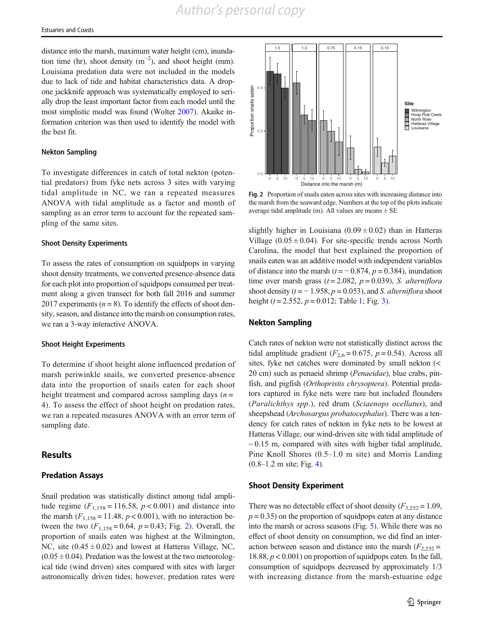distance into the marsh, maximum water height (cm), inundation time (hr), shoot density  $(m^{-2})$ , and shoot height (mm). Louisiana predation data were not included in the models due to lack of tide and habitat characteristics data. A dropone jackknife approach was systematically employed to serially drop the least important factor from each model until the most simplistic model was found (Wolter [2007](#page-9-0)). Akaike information criterion was then used to identify the model with the best fit.

#### Nekton Sampling

To investigate differences in catch of total nekton (potential predators) from fyke nets across 3 sites with varying tidal amplitude in NC, we ran a repeated measures ANOVA with tidal amplitude as a factor and month of sampling as an error term to account for the repeated sampling of the same sites.

#### Shoot Density Experiments

To assess the rates of consumption on squidpops in varying shoot density treatments, we converted presence-absence data for each plot into proportion of squidpops consumed per treatment along a given transect for both fall 2016 and summer 2017 experiments ( $n = 8$ ). To identify the effects of shoot density, season, and distance into the marsh on consumption rates, we ran a 3-way interactive ANOVA.

#### Shoot Height Experiments

To determine if shoot height alone influenced predation of marsh periwinkle snails, we converted presence-absence data into the proportion of snails eaten for each shoot height treatment and compared across sampling days  $(n =$ 4). To assess the effect of shoot height on predation rates, we ran a repeated measures ANOVA with an error term of sampling date.

## Results

#### Predation Assays

Snail predation was statistically distinct among tidal amplitude regime  $(F_{1,158} = 116.58, p < 0.001)$  and distance into the marsh  $(F_{1,158} = 11.48, p < 0.001)$ , with no interaction between the two  $(F_{1,158} = 0.64, p = 0.43; Fig. 2)$ . Overall, the proportion of snails eaten was highest at the Wilmington, NC, site  $(0.45 \pm 0.02)$  and lowest at Hatteras Village, NC,  $(0.05 \pm 0.04)$ . Predation was the lowest at the two meteorological tide (wind driven) sites compared with sites with larger astronomically driven tides; however, predation rates were



Fig. 2 Proportion of snails eaten across sites with increasing distance into the marsh from the seaward edge. Numbers at the top of the plots indicate average tidal amplitude (m). All values are means  $\pm$  SE

slightly higher in Louisiana  $(0.09 \pm 0.02)$  than in Hatteras Village  $(0.05 \pm 0.04)$ . For site-specific trends across North Carolina, the model that best explained the proportion of snails eaten was an additive model with independent variables of distance into the marsh ( $t = -0.874$ ,  $p = 0.384$ ), inundation time over marsh grass ( $t = 2.082$ ,  $p = 0.039$ ), *S. alterniflora* shoot density ( $t = -1.958$ ,  $p = 0.053$ ), and *S. alterniflora* shoot height ( $t = 2.552$ ,  $p = 0.012$  $p = 0.012$  $p = 0.012$ ; Table 1; Fig. [3\)](#page-5-0).

#### Nekton Sampling

Catch rates of nekton were not statistically distinct across the tidal amplitude gradient ( $F_{2,6} = 0.675$ ,  $p = 0.54$ ). Across all sites, fyke net catches were dominated by small nekton (< 20 cm) such as penaeid shrimp (Penaeidae), blue crabs, pinfish, and pigfish (Orthopristis chrysoptera). Potential predators captured in fyke nets were rare but included flounders (Paralichthys spp.), red drum (Sciaenops ocellatus), and sheepshead (Archosargus probatocephalus). There was a tendency for catch rates of nekton in fyke nets to be lowest at Hatteras Village, our wind-driven site with tidal amplitude of  $\sim$  0.15 m, compared with sites with higher tidal amplitude, Pine Knoll Shores (0.5–1.0 m site) and Morris Landing (0.8–1.2 m site; Fig. [4\)](#page-6-0).

#### Shoot Density Experiment

There was no detectable effect of shoot density  $(F_{3,252} = 1.09)$ ,  $p = 0.35$ ) on the proportion of squidpops eaten at any distance into the marsh or across seasons (Fig. [5](#page-6-0)). While there was no effect of shoot density on consumption, we did find an interaction between season and distance into the marsh  $(F_{2,252} =$ 18.88,  $p < 0.001$ ) on proportion of squidpops eaten. In the fall, consumption of squidpops decreased by approximately 1/3 with increasing distance from the marsh-estuarine edge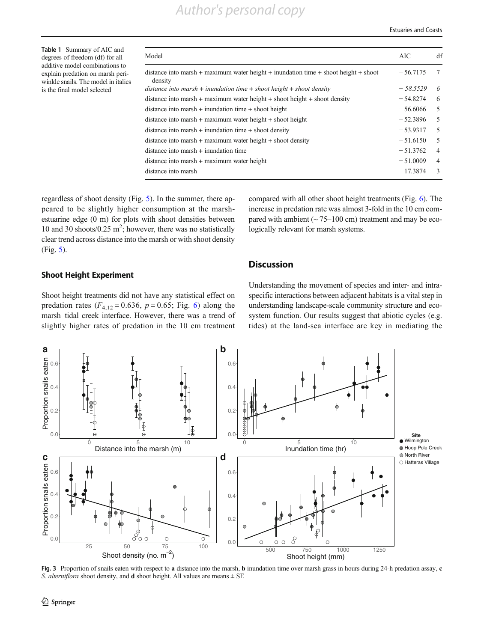<span id="page-5-0"></span>Table 1 Summary of AIC and degrees of freedom (df) for all additive model combinations to explain predation on marsh periwinkle snails. The model in italics is the final model selected

| Model                                                                                                  | <b>AIC</b> | df             |
|--------------------------------------------------------------------------------------------------------|------------|----------------|
| distance into marsh $+$ maximum water height $+$ inundation time $+$ shoot height $+$ shoot<br>density | $-56.7175$ | 7              |
| distance into marsh $+$ inundation time $+$ shoot height $+$ shoot density                             | $-58.5529$ | 6              |
| distance into marsh $+$ maximum water height $+$ shoot height $+$ shoot density                        | $-54.8274$ | 6              |
| $distance into mark + inundation time + shoot height$                                                  | $-56.6066$ | 5              |
| $distance$ into marsh + maximum water height + shoot height                                            | $-52.3896$ | $\sim$         |
| $distance$ into marsh $+$ inundation time $+$ shoot density                                            | $-53.9317$ | 5              |
| $distance$ into marsh + maximum water height + shoot density                                           | $-51.6150$ | $\sim$         |
| $distance$ into marsh $+$ inundation time                                                              | $-51.3762$ | $\overline{4}$ |
| distance into marsh + maximum water height                                                             | $-51,0009$ | $\overline{4}$ |
| distance into marsh                                                                                    | $-17.3874$ | $\mathcal{F}$  |

regardless of shoot density (Fig. [5](#page-6-0)). In the summer, there appeared to be slightly higher consumption at the marshestuarine edge (0 m) for plots with shoot densities between 10 and 30 shoots/0.25  $m^2$ ; however, there was no statistically clear trend across distance into the marsh or with shoot density (Fig. [5](#page-6-0)).

compared with all other shoot height treatments (Fig. [6\)](#page-7-0). The increase in predation rate was almost 3-fold in the 10 cm compared with ambient  $({\sim}75{\text -}100 \text{ cm})$  treatment and may be ecologically relevant for marsh systems.

## Shoot Height Experiment

Shoot height treatments did not have any statistical effect on predation rates ( $F_{4,12} = 0.636$  $F_{4,12} = 0.636$  $F_{4,12} = 0.636$ ,  $p = 0.65$ ; Fig. 6) along the marsh–tidal creek interface. However, there was a trend of slightly higher rates of predation in the 10 cm treatment

# **Discussion**

Understanding the movement of species and inter- and intraspecific interactions between adjacent habitats is a vital step in understanding landscape-scale community structure and ecosystem function. Our results suggest that abiotic cycles (e.g. tides) at the land-sea interface are key in mediating the



Fig. 3 Proportion of snails eaten with respect to a distance into the marsh, b inundation time over marsh grass in hours during 24-h predation assay, c S. *alterniflora* shoot density, and **d** shoot height. All values are means  $\pm$  SE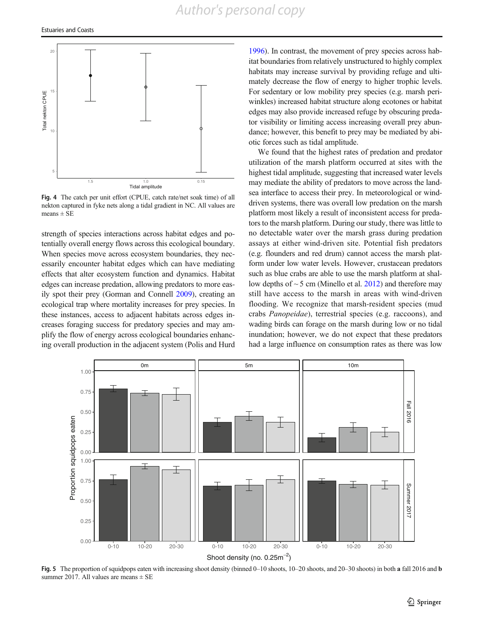<span id="page-6-0"></span>

Fig. 4 The catch per unit effort (CPUE, catch rate/net soak time) of all nekton captured in fyke nets along a tidal gradient in NC. All values are means  $\pm$  SE

strength of species interactions across habitat edges and potentially overall energy flows across this ecological boundary. When species move across ecosystem boundaries, they necessarily encounter habitat edges which can have mediating effects that alter ecosystem function and dynamics. Habitat edges can increase predation, allowing predators to more easily spot their prey (Gorman and Connell [2009](#page-8-0)), creating an ecological trap where mortality increases for prey species. In these instances, access to adjacent habitats across edges increases foraging success for predatory species and may amplify the flow of energy across ecological boundaries enhancing overall production in the adjacent system (Polis and Hurd

[1996\)](#page-9-0). In contrast, the movement of prey species across habitat boundaries from relatively unstructured to highly complex habitats may increase survival by providing refuge and ultimately decrease the flow of energy to higher trophic levels. For sedentary or low mobility prey species (e.g. marsh periwinkles) increased habitat structure along ecotones or habitat edges may also provide increased refuge by obscuring predator visibility or limiting access increasing overall prey abundance; however, this benefit to prey may be mediated by abiotic forces such as tidal amplitude.

We found that the highest rates of predation and predator utilization of the marsh platform occurred at sites with the highest tidal amplitude, suggesting that increased water levels may mediate the ability of predators to move across the landsea interface to access their prey. In meteorological or winddriven systems, there was overall low predation on the marsh platform most likely a result of inconsistent access for predators to the marsh platform. During our study, there was little to no detectable water over the marsh grass during predation assays at either wind-driven site. Potential fish predators (e.g. flounders and red drum) cannot access the marsh platform under low water levels. However, crustacean predators such as blue crabs are able to use the marsh platform at shallow depths of  $\sim$  5 cm (Minello et al. [2012\)](#page-9-0) and therefore may still have access to the marsh in areas with wind-driven flooding. We recognize that marsh-resident species (mud crabs Panopeidae), terrestrial species (e.g. raccoons), and wading birds can forage on the marsh during low or no tidal inundation; however, we do not expect that these predators had a large influence on consumption rates as there was low



Fig. 5 The proportion of squidpops eaten with increasing shoot density (binned 0–10 shoots, 10–20 shoots, and 20–30 shoots) in both a fall 2016 and b summer 2017. All values are means  $\pm$  SE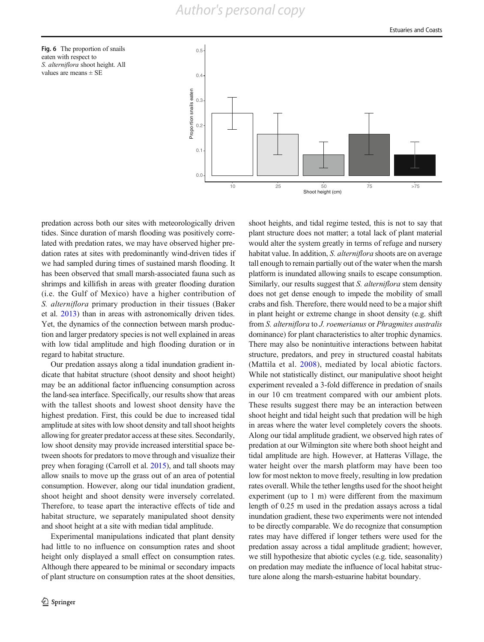*Author's personal copy*

Estuaries and Coasts

<span id="page-7-0"></span>



predation across both our sites with meteorologically driven tides. Since duration of marsh flooding was positively correlated with predation rates, we may have observed higher predation rates at sites with predominantly wind-driven tides if we had sampled during times of sustained marsh flooding. It has been observed that small marsh-associated fauna such as shrimps and killifish in areas with greater flooding duration (i.e. the Gulf of Mexico) have a higher contribution of S. alterniflora primary production in their tissues (Baker et al. [2013\)](#page-8-0) than in areas with astronomically driven tides. Yet, the dynamics of the connection between marsh production and larger predatory species is not well explained in areas with low tidal amplitude and high flooding duration or in regard to habitat structure.

Our predation assays along a tidal inundation gradient indicate that habitat structure (shoot density and shoot height) may be an additional factor influencing consumption across the land-sea interface. Specifically, our results show that areas with the tallest shoots and lowest shoot density have the highest predation. First, this could be due to increased tidal amplitude at sites with low shoot density and tall shoot heights allowing for greater predator access at these sites. Secondarily, low shoot density may provide increased interstitial space between shoots for predators to move through and visualize their prey when foraging (Carroll et al. [2015\)](#page-8-0), and tall shoots may allow snails to move up the grass out of an area of potential consumption. However, along our tidal inundation gradient, shoot height and shoot density were inversely correlated. Therefore, to tease apart the interactive effects of tide and habitat structure, we separately manipulated shoot density and shoot height at a site with median tidal amplitude.

Experimental manipulations indicated that plant density had little to no influence on consumption rates and shoot height only displayed a small effect on consumption rates. Although there appeared to be minimal or secondary impacts of plant structure on consumption rates at the shoot densities, shoot heights, and tidal regime tested, this is not to say that plant structure does not matter; a total lack of plant material would alter the system greatly in terms of refuge and nursery habitat value. In addition, *S. alterniflora* shoots are on average tall enough to remain partially out of the water when the marsh platform is inundated allowing snails to escape consumption. Similarly, our results suggest that S. alterniflora stem density does not get dense enough to impede the mobility of small crabs and fish. Therefore, there would need to be a major shift in plant height or extreme change in shoot density (e.g. shift from S. alterniflora to J. roemerianus or Phragmites australis dominance) for plant characteristics to alter trophic dynamics. There may also be nonintuitive interactions between habitat structure, predators, and prey in structured coastal habitats (Mattila et al. [2008](#page-9-0)), mediated by local abiotic factors. While not statistically distinct, our manipulative shoot height experiment revealed a 3-fold difference in predation of snails in our 10 cm treatment compared with our ambient plots. These results suggest there may be an interaction between shoot height and tidal height such that predation will be high in areas where the water level completely covers the shoots. Along our tidal amplitude gradient, we observed high rates of predation at our Wilmington site where both shoot height and tidal amplitude are high. However, at Hatteras Village, the water height over the marsh platform may have been too low for most nekton to move freely, resulting in low predation rates overall. While the tether lengths used for the shoot height experiment (up to 1 m) were different from the maximum length of 0.25 m used in the predation assays across a tidal inundation gradient, these two experiments were not intended to be directly comparable. We do recognize that consumption rates may have differed if longer tethers were used for the predation assay across a tidal amplitude gradient; however, we still hypothesize that abiotic cycles (e.g. tide, seasonality) on predation may mediate the influence of local habitat structure alone along the marsh-estuarine habitat boundary.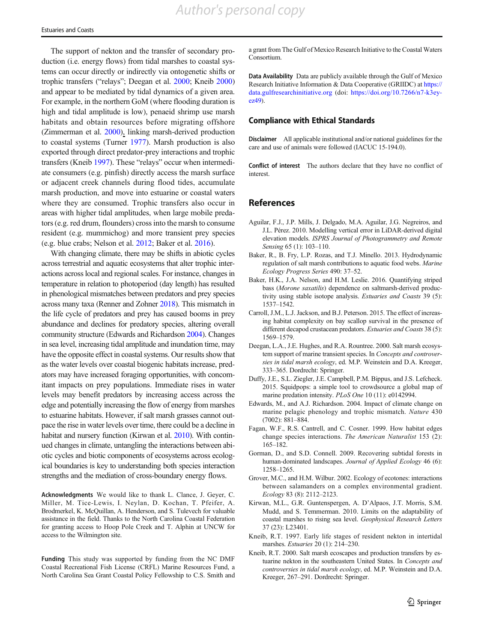<span id="page-8-0"></span>The support of nekton and the transfer of secondary production (i.e. energy flows) from tidal marshes to coastal systems can occur directly or indirectly via ontogenetic shifts or trophic transfers ("relays"; Deegan et al. 2000; Kneib 2000) and appear to be mediated by tidal dynamics of a given area. For example, in the northern GoM (where flooding duration is high and tidal amplitude is low), penaeid shrimp use marsh habitats and obtain resources before migrating offshore (Zimmerman et al. [2000](#page-9-0)), linking marsh-derived production to coastal systems (Turner [1977\)](#page-9-0). Marsh production is also exported through direct predator-prey interactions and trophic transfers (Kneib 1997). These "relays" occur when intermediate consumers (e.g. pinfish) directly access the marsh surface or adjacent creek channels during flood tides, accumulate marsh production, and move into estuarine or coastal waters where they are consumed. Trophic transfers also occur in areas with higher tidal amplitudes, when large mobile predators (e.g. red drum, flounders) cross into the marsh to consume resident (e.g. mummichog) and more transient prey species (e.g. blue crabs; Nelson et al. [2012;](#page-9-0) Baker et al. 2016).

With changing climate, there may be shifts in abiotic cycles across terrestrial and aquatic ecosystems that alter trophic interactions across local and regional scales. For instance, changes in temperature in relation to photoperiod (day length) has resulted in phenological mismatches between predators and prey species across many taxa (Renner and Zohner [2018\)](#page-9-0). This mismatch in the life cycle of predators and prey has caused booms in prey abundance and declines for predatory species, altering overall community structure (Edwards and Richardson 2004). Changes in sea level, increasing tidal amplitude and inundation time, may have the opposite effect in coastal systems. Our results show that as the water levels over coastal biogenic habitats increase, predators may have increased foraging opportunities, with concomitant impacts on prey populations. Immediate rises in water levels may benefit predators by increasing access across the edge and potentially increasing the flow of energy from marshes to estuarine habitats. However, if salt marsh grasses cannot outpace the rise in water levels over time, there could be a decline in habitat and nursery function (Kirwan et al. 2010). With continued changes in climate, untangling the interactions between abiotic cycles and biotic components of ecosystems across ecological boundaries is key to understanding both species interaction strengths and the mediation of cross-boundary energy flows.

Acknowledgments We would like to thank L. Clance, J. Geyer, C. Miller, M. Tice-Lewis, I. Neylan, D. Kochan, T. Pfeifer, A. Brodmerkel, K. McQuillan, A. Henderson, and S. Tulevech for valuable assistance in the field. Thanks to the North Carolina Coastal Federation for granting access to Hoop Pole Creek and T. Alphin at UNCW for access to the Wilmington site.

Funding This study was supported by funding from the NC DMF Coastal Recreational Fish License (CRFL) Marine Resources Fund, a North Carolina Sea Grant Coastal Policy Fellowship to C.S. Smith and a grant from The Gulf of Mexico Research Initiative to the Coastal Waters Consortium.

Data Availability Data are publicly available through the Gulf of Mexico Research Initiative Information & Data Cooperative (GRIIDC) at [https://](https://data.gulfresearchinitiative.org) [data.gulfresearchinitiative.org](https://data.gulfresearchinitiative.org) (doi: [https://doi.org/10.7266/n7-k3ey](https://doi.org/10.7266/n7-k3ey-ez49)[ez49\)](https://doi.org/10.7266/n7-k3ey-ez49).

## Compliance with Ethical Standards

Disclaimer All applicable institutional and/or national guidelines for the care and use of animals were followed (IACUC 15-194.0).

Conflict of interest The authors declare that they have no conflict of interest.

# References

- Aguilar, F.J., J.P. Mills, J. Delgado, M.A. Aguilar, J.G. Negreiros, and J.L. Pérez. 2010. Modelling vertical error in LiDAR-derived digital elevation models. ISPRS Journal of Photogrammetry and Remote Sensing 65 (1): 103-110.
- Baker, R., B. Fry, L.P. Rozas, and T.J. Minello. 2013. Hydrodynamic regulation of salt marsh contributions to aquatic food webs. Marine Ecology Progress Series 490: 37–52.
- Baker, H.K., J.A. Nelson, and H.M. Leslie. 2016. Quantifying striped bass (Morone saxatilis) dependence on saltmarsh-derived productivity using stable isotope analysis. Estuaries and Coasts 39 (5): 1537–1542.
- Carroll, J.M., L.J. Jackson, and B.J. Peterson. 2015. The effect of increasing habitat complexity on bay scallop survival in the presence of different decapod crustacean predators. Estuaries and Coasts 38 (5): 1569–1579.
- Deegan, L.A., J.E. Hughes, and R.A. Rountree. 2000. Salt marsh ecosystem support of marine transient species. In Concepts and controversies in tidal marsh ecology, ed. M.P. Weinstein and D.A. Kreeger, 333–365. Dordrecht: Springer.
- Duffy, J.E., S.L. Ziegler, J.E. Campbell, P.M. Bippus, and J.S. Lefcheck. 2015. Squidpops: a simple tool to crowdsource a global map of marine predation intensity. PLoS One 10 (11): e0142994.
- Edwards, M., and A.J. Richardson. 2004. Impact of climate change on marine pelagic phenology and trophic mismatch. Nature 430 (7002): 881–884.
- Fagan, W.F., R.S. Cantrell, and C. Cosner. 1999. How habitat edges change species interactions. The American Naturalist 153 (2): 165–182.
- Gorman, D., and S.D. Connell. 2009. Recovering subtidal forests in human-dominated landscapes. Journal of Applied Ecology 46 (6): 1258–1265.
- Grover, M.C., and H.M. Wilbur. 2002. Ecology of ecotones: interactions between salamanders on a complex environmental gradient. Ecology 83 (8): 2112–2123.
- Kirwan, M.L., G.R. Guntenspergen, A. D'Alpaos, J.T. Morris, S.M. Mudd, and S. Temmerman. 2010. Limits on the adaptability of coastal marshes to rising sea level. Geophysical Research Letters 37 (23): L23401.
- Kneib, R.T. 1997. Early life stages of resident nekton in intertidal marshes. Estuaries 20 (1): 214–230.
- Kneib, R.T. 2000. Salt marsh ecoscapes and production transfers by estuarine nekton in the southeastern United States. In Concepts and controversies in tidal marsh ecology, ed. M.P. Weinstein and D.A. Kreeger, 267–291. Dordrecht: Springer.